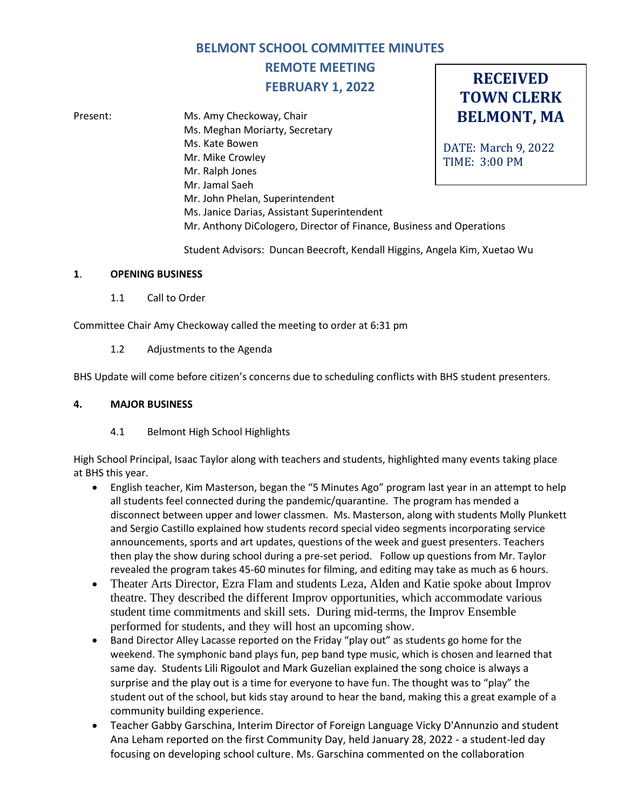# **BELMONT SCHOOL COMMITTEE MINUTES**

# **REMOTE MEETING FEBRUARY 1, 2022**

**BELMONT, MA** DATE: March 9, 2022 TIME: 3:00 PM Present: Ms. Amy Checkoway, Chair Ms. Meghan Moriarty, Secretary Ms. Kate Bowen Mr. Mike Crowley Mr. Ralph Jones Mr. Jamal Saeh Mr. John Phelan, Superintendent Ms. Janice Darias, Assistant Superintendent Mr. Anthony DiCologero, Director of Finance, Business and Operations

Student Advisors: Duncan Beecroft, Kendall Higgins, Angela Kim, Xuetao Wu

**RECEIVED TOWN CLERK**

#### **1**. **OPENING BUSINESS**

1.1 Call to Order

Committee Chair Amy Checkoway called the meeting to order at 6:31 pm

1.2 Adjustments to the Agenda

BHS Update will come before citizen's concerns due to scheduling conflicts with BHS student presenters.

#### **4. MAJOR BUSINESS**

#### 4.1 Belmont High School Highlights

High School Principal, Isaac Taylor along with teachers and students, highlighted many events taking place at BHS this year.

- English teacher, Kim Masterson, began the "5 Minutes Ago" program last year in an attempt to help all students feel connected during the pandemic/quarantine. The program has mended a disconnect between upper and lower classmen. Ms. Masterson, along with students Molly Plunkett and Sergio Castillo explained how students record special video segments incorporating service announcements, sports and art updates, questions of the week and guest presenters. Teachers then play the show during school during a pre-set period. Follow up questions from Mr. Taylor revealed the program takes 45-60 minutes for filming, and editing may take as much as 6 hours.
- Theater Arts Director, Ezra Flam and students Leza, Alden and Katie spoke about Improv theatre. They described the different Improv opportunities, which accommodate various student time commitments and skill sets. During mid-terms, the Improv Ensemble performed for students, and they will host an upcoming show.
- Band Director Alley Lacasse reported on the Friday "play out" as students go home for the weekend. The symphonic band plays fun, pep band type music, which is chosen and learned that same day. Students Lili Rigoulot and Mark Guzelian explained the song choice is always a surprise and the play out is a time for everyone to have fun. The thought was to "play" the student out of the school, but kids stay around to hear the band, making this a great example of a community building experience.
- Teacher Gabby Garschina, Interim Director of Foreign Language Vicky D'Annunzio and student Ana Leham reported on the first Community Day, held January 28, 2022 - a student-led day focusing on developing school culture. Ms. Garschina commented on the collaboration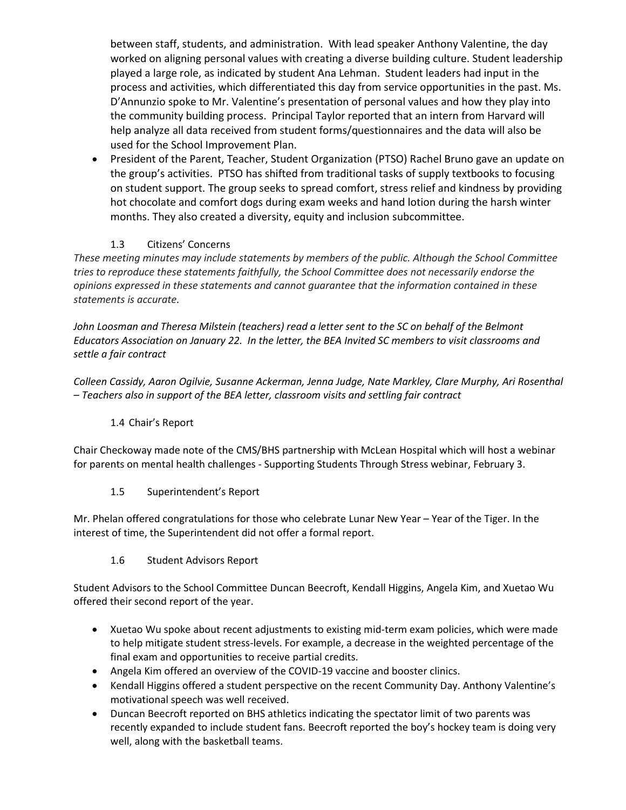between staff, students, and administration. With lead speaker Anthony Valentine, the day worked on aligning personal values with creating a diverse building culture. Student leadership played a large role, as indicated by student Ana Lehman. Student leaders had input in the process and activities, which differentiated this day from service opportunities in the past. Ms. D'Annunzio spoke to Mr. Valentine's presentation of personal values and how they play into the community building process. Principal Taylor reported that an intern from Harvard will help analyze all data received from student forms/questionnaires and the data will also be used for the School Improvement Plan.

• President of the Parent, Teacher, Student Organization (PTSO) Rachel Bruno gave an update on the group's activities. PTSO has shifted from traditional tasks of supply textbooks to focusing on student support. The group seeks to spread comfort, stress relief and kindness by providing hot chocolate and comfort dogs during exam weeks and hand lotion during the harsh winter months. They also created a diversity, equity and inclusion subcommittee.

# 1.3 Citizens' Concerns

*These meeting minutes may include statements by members of the public. Although the School Committee tries to reproduce these statements faithfully, the School Committee does not necessarily endorse the opinions expressed in these statements and cannot guarantee that the information contained in these statements is accurate.*

*John Loosman and Theresa Milstein (teachers) read a letter sent to the SC on behalf of the Belmont Educators Association on January 22. In the letter, the BEA Invited SC members to visit classrooms and settle a fair contract*

*Colleen Cassidy, Aaron Ogilvie, Susanne Ackerman, Jenna Judge, Nate Markley, Clare Murphy, Ari Rosenthal – Teachers also in support of the BEA letter, classroom visits and settling fair contract*

# 1.4 Chair's Report

Chair Checkoway made note of the CMS/BHS partnership with McLean Hospital which will host a webinar for parents on mental health challenges - Supporting Students Through Stress webinar, February 3.

# 1.5 Superintendent's Report

Mr. Phelan offered congratulations for those who celebrate Lunar New Year – Year of the Tiger. In the interest of time, the Superintendent did not offer a formal report.

# 1.6 Student Advisors Report

Student Advisors to the School Committee Duncan Beecroft, Kendall Higgins, Angela Kim, and Xuetao Wu offered their second report of the year.

- Xuetao Wu spoke about recent adjustments to existing mid-term exam policies, which were made to help mitigate student stress-levels. For example, a decrease in the weighted percentage of the final exam and opportunities to receive partial credits.
- Angela Kim offered an overview of the COVID-19 vaccine and booster clinics.
- Kendall Higgins offered a student perspective on the recent Community Day. Anthony Valentine's motivational speech was well received.
- Duncan Beecroft reported on BHS athletics indicating the spectator limit of two parents was recently expanded to include student fans. Beecroft reported the boy's hockey team is doing very well, along with the basketball teams.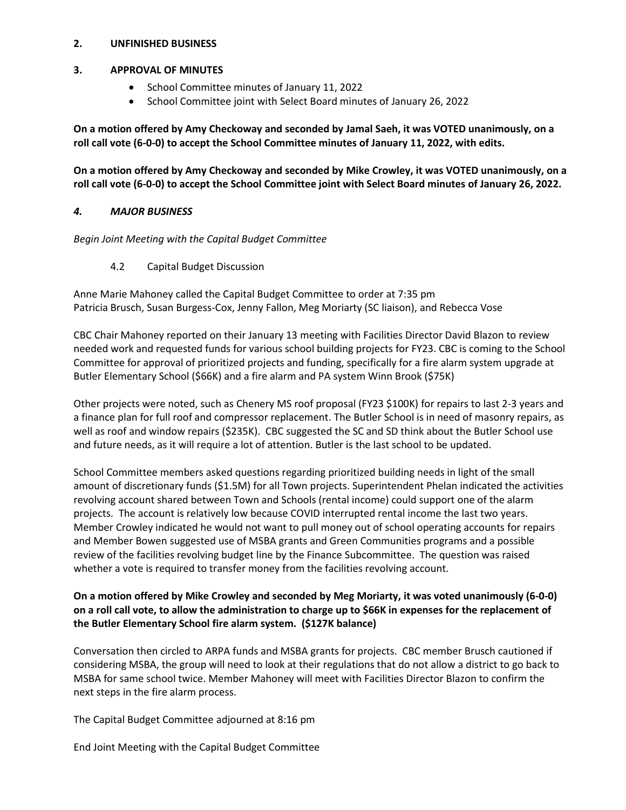#### **2. UNFINISHED BUSINESS**

#### **3. APPROVAL OF MINUTES**

- School Committee minutes of January 11, 2022
- School Committee joint with Select Board minutes of January 26, 2022

**On a motion offered by Amy Checkoway and seconded by Jamal Saeh, it was VOTED unanimously, on a roll call vote (6-0-0) to accept the School Committee minutes of January 11, 2022, with edits.**

**On a motion offered by Amy Checkoway and seconded by Mike Crowley, it was VOTED unanimously, on a roll call vote (6-0-0) to accept the School Committee joint with Select Board minutes of January 26, 2022.**

#### *4. MAJOR BUSINESS*

*Begin Joint Meeting with the Capital Budget Committee*

4.2 Capital Budget Discussion

Anne Marie Mahoney called the Capital Budget Committee to order at 7:35 pm Patricia Brusch, Susan Burgess-Cox, Jenny Fallon, Meg Moriarty (SC liaison), and Rebecca Vose

CBC Chair Mahoney reported on their January 13 meeting with Facilities Director David Blazon to review needed work and requested funds for various school building projects for FY23. CBC is coming to the School Committee for approval of prioritized projects and funding, specifically for a fire alarm system upgrade at Butler Elementary School (\$66K) and a fire alarm and PA system Winn Brook (\$75K)

Other projects were noted, such as Chenery MS roof proposal (FY23 \$100K) for repairs to last 2-3 years and a finance plan for full roof and compressor replacement. The Butler School is in need of masonry repairs, as well as roof and window repairs (\$235K). CBC suggested the SC and SD think about the Butler School use and future needs, as it will require a lot of attention. Butler is the last school to be updated.

School Committee members asked questions regarding prioritized building needs in light of the small amount of discretionary funds (\$1.5M) for all Town projects. Superintendent Phelan indicated the activities revolving account shared between Town and Schools (rental income) could support one of the alarm projects. The account is relatively low because COVID interrupted rental income the last two years. Member Crowley indicated he would not want to pull money out of school operating accounts for repairs and Member Bowen suggested use of MSBA grants and Green Communities programs and a possible review of the facilities revolving budget line by the Finance Subcommittee. The question was raised whether a vote is required to transfer money from the facilities revolving account.

# **On a motion offered by Mike Crowley and seconded by Meg Moriarty, it was voted unanimously (6-0-0) on a roll call vote, to allow the administration to charge up to \$66K in expenses for the replacement of the Butler Elementary School fire alarm system. (\$127K balance)**

Conversation then circled to ARPA funds and MSBA grants for projects. CBC member Brusch cautioned if considering MSBA, the group will need to look at their regulations that do not allow a district to go back to MSBA for same school twice. Member Mahoney will meet with Facilities Director Blazon to confirm the next steps in the fire alarm process.

The Capital Budget Committee adjourned at 8:16 pm

End Joint Meeting with the Capital Budget Committee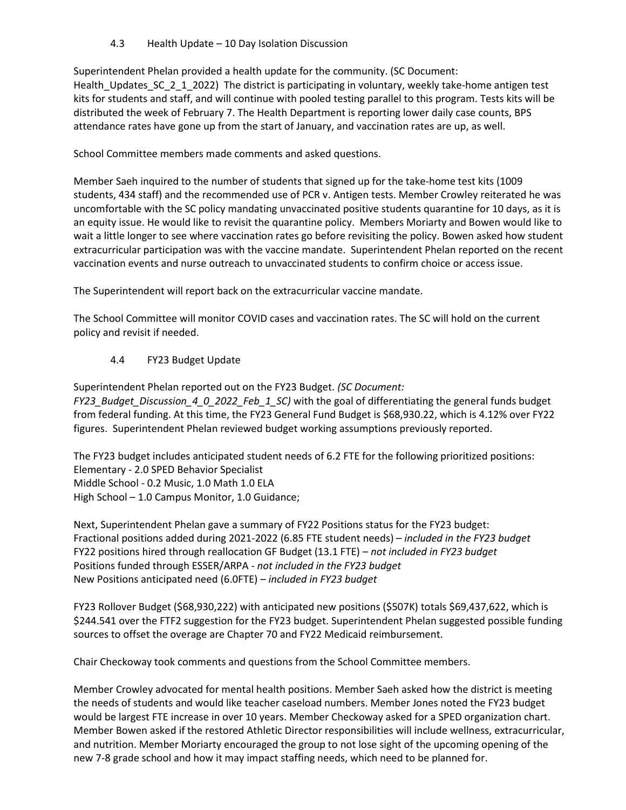4.3 Health Update – 10 Day Isolation Discussion

Superintendent Phelan provided a health update for the community. (SC Document: Health\_Updates\_SC\_2\_1\_2022) The district is participating in voluntary, weekly take-home antigen test kits for students and staff, and will continue with pooled testing parallel to this program. Tests kits will be distributed the week of February 7. The Health Department is reporting lower daily case counts, BPS attendance rates have gone up from the start of January, and vaccination rates are up, as well.

School Committee members made comments and asked questions.

Member Saeh inquired to the number of students that signed up for the take-home test kits (1009 students, 434 staff) and the recommended use of PCR v. Antigen tests. Member Crowley reiterated he was uncomfortable with the SC policy mandating unvaccinated positive students quarantine for 10 days, as it is an equity issue. He would like to revisit the quarantine policy. Members Moriarty and Bowen would like to wait a little longer to see where vaccination rates go before revisiting the policy. Bowen asked how student extracurricular participation was with the vaccine mandate. Superintendent Phelan reported on the recent vaccination events and nurse outreach to unvaccinated students to confirm choice or access issue.

The Superintendent will report back on the extracurricular vaccine mandate.

The School Committee will monitor COVID cases and vaccination rates. The SC will hold on the current policy and revisit if needed.

# 4.4 FY23 Budget Update

Superintendent Phelan reported out on the FY23 Budget. *(SC Document: FY23\_Budget\_Discussion\_4\_0\_2022\_Feb\_1\_SC)* with the goal of differentiating the general funds budget from federal funding. At this time, the FY23 General Fund Budget is \$68,930.22, which is 4.12% over FY22 figures. Superintendent Phelan reviewed budget working assumptions previously reported.

The FY23 budget includes anticipated student needs of 6.2 FTE for the following prioritized positions: Elementary - 2.0 SPED Behavior Specialist Middle School - 0.2 Music, 1.0 Math 1.0 ELA High School – 1.0 Campus Monitor, 1.0 Guidance;

Next, Superintendent Phelan gave a summary of FY22 Positions status for the FY23 budget: Fractional positions added during 2021-2022 (6.85 FTE student needs) – *included in the FY23 budget* FY22 positions hired through reallocation GF Budget (13.1 FTE) – *not included in FY23 budget* Positions funded through ESSER/ARPA - *not included in the FY23 budget*  New Positions anticipated need (6.0FTE) *– included in FY23 budget*

FY23 Rollover Budget (\$68,930,222) with anticipated new positions (\$507K) totals \$69,437,622, which is \$244.541 over the FTF2 suggestion for the FY23 budget. Superintendent Phelan suggested possible funding sources to offset the overage are Chapter 70 and FY22 Medicaid reimbursement.

Chair Checkoway took comments and questions from the School Committee members.

Member Crowley advocated for mental health positions. Member Saeh asked how the district is meeting the needs of students and would like teacher caseload numbers. Member Jones noted the FY23 budget would be largest FTE increase in over 10 years. Member Checkoway asked for a SPED organization chart. Member Bowen asked if the restored Athletic Director responsibilities will include wellness, extracurricular, and nutrition. Member Moriarty encouraged the group to not lose sight of the upcoming opening of the new 7-8 grade school and how it may impact staffing needs, which need to be planned for.